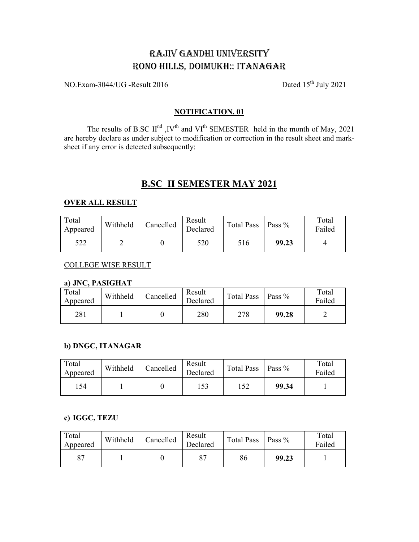# RAJIV GANDHI UNIVERSITY RONO HILLS, DOIMUKH:: ITANAGAR

NO.Exam-3044/UG -Result 2016

Dated 15<sup>th</sup> July 2021

#### **NOTIFICATION. 01**

The results of B.SC II<sup>nd</sup>, IV<sup>th</sup> and VI<sup>th</sup> SEMESTER held in the month of May, 2021 are hereby declare as under subject to modification or correction in the result sheet and marksheet if any error is detected subsequently:

# **B.SC II SEMESTER MAY 2021**

#### **OVER ALL RESULT**

| Total<br>Appeared | Withheld | Cancelled | Result<br>Declared | Total Pass   Pass % |       | Total<br>Failed |
|-------------------|----------|-----------|--------------------|---------------------|-------|-----------------|
| 522               |          |           | 520                | 516                 | 99.23 |                 |

#### **COLLEGE WISE RESULT**

### a) JNC, PASIGHAT

| Total<br>Appeared | Withheld | Cancelled | Result<br>Declared | <b>Total Pass</b> | Pass $\%$ | Total<br>Failed |
|-------------------|----------|-----------|--------------------|-------------------|-----------|-----------------|
| 281               |          |           | 280                | 278               | 99.28     |                 |

### b) DNGC, ITANAGAR

| Total<br>Appeared | Withheld | Cancelled | Result<br>Declared | <b>Total Pass</b> | $\vert$ Pass % | Total<br>Failed |
|-------------------|----------|-----------|--------------------|-------------------|----------------|-----------------|
| 154               |          |           | .53                | .52               | 99.34          |                 |

### c) IGGC, TEZU

| Total<br>Appeared | Withheld | Cancelled | Result<br>Declared | Total Pass   Pass % |       | Total<br>Failed |
|-------------------|----------|-----------|--------------------|---------------------|-------|-----------------|
|                   |          |           |                    | 86                  | 99.23 |                 |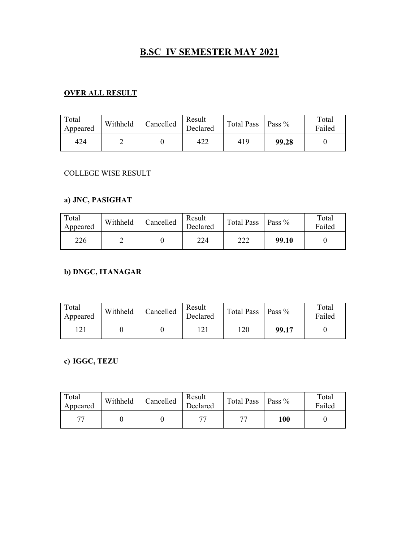# **B.SC IV SEMESTER MAY 2021**

#### **RESULT**

| Total<br>Appeared | Withheld | Cancelled | Result<br><b>Total Pass</b><br>Pass $%$<br>Declared |     | Total<br>Failed |  |
|-------------------|----------|-----------|-----------------------------------------------------|-----|-----------------|--|
| 424               |          |           | 422                                                 | 419 | 99.28           |  |

### COLLEGE WISE RESULT

### **a**) **JNC**, **PASIGHAT**

| Total<br>Appeared | Withheld | Cancelled | Result<br>Declared | Total Pass   Pass % |       | Total<br>Failed |
|-------------------|----------|-----------|--------------------|---------------------|-------|-----------------|
| 226               |          |           | 224                | 222                 | 99.10 |                 |

## **b) DNGC, ITANAGAR**

| Total<br>Appeared | Withheld | Cancelled | Result<br>Declared | Total Pass   Pass % |       | Total<br>Failed |
|-------------------|----------|-----------|--------------------|---------------------|-------|-----------------|
|                   |          |           |                    | 120                 | 99.17 |                 |

c) **IGGC**, **TEZU** 

| Total<br>Appeared | Withheld | Cancelled | Result<br>Declared | Total Pass   Pass % |     | Total<br>Failed |
|-------------------|----------|-----------|--------------------|---------------------|-----|-----------------|
| $\overline{ }$    |          |           | $\mathbf{H}$       | 77                  | 100 |                 |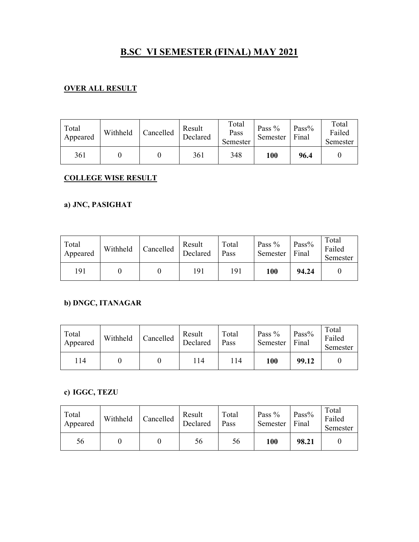# **B.SC VI SEMESTER (FINAL) MAY 2021**

## **RESULT**

| Total<br>Appeared | Withheld | Cancelled | Result<br>Declared | Total<br>Pass<br>Semester | Pass $%$<br>Semester | Pass%<br>Final | Total<br>Failed<br>Semester |
|-------------------|----------|-----------|--------------------|---------------------------|----------------------|----------------|-----------------------------|
| 361               |          |           | 361                | 348                       | 100                  | 96.4           |                             |

## **GOLLEGE WISE RESULT**

### **a**) **JNC**, **PASIGHAT**

| Total<br>Appeared | Withheld | Cancelled | Result<br>Declared | Total<br>Pass | Pass $%$<br>Semester | $Pass\%$<br>Final | Total<br>Failed<br>Semester |
|-------------------|----------|-----------|--------------------|---------------|----------------------|-------------------|-----------------------------|
| 191               |          |           | 191                | 191           | 100                  | 94.24             |                             |

## **b) DNGC, ITANAGAR**

| Total<br>Appeared | Withheld | Cancelled | Result<br>Declared | Total<br>Pass | Pass $%$<br>Semester | Pass $%$<br>Final | Total<br>Failed<br>Semester |
|-------------------|----------|-----------|--------------------|---------------|----------------------|-------------------|-----------------------------|
| 114               |          |           | 114                | l 14          | 100                  | 99.12             |                             |

## c) **IGGC**, **TEZU**

| Total<br>Appeared | Withheld | Cancelled | Result<br>Declared | Total<br>Pass | Pass $%$<br>Semester | Pass $%$<br>Final | Total<br>Failed<br>Semester |
|-------------------|----------|-----------|--------------------|---------------|----------------------|-------------------|-----------------------------|
| 56                |          |           | 56                 | 56            | 100                  | 98.21             |                             |